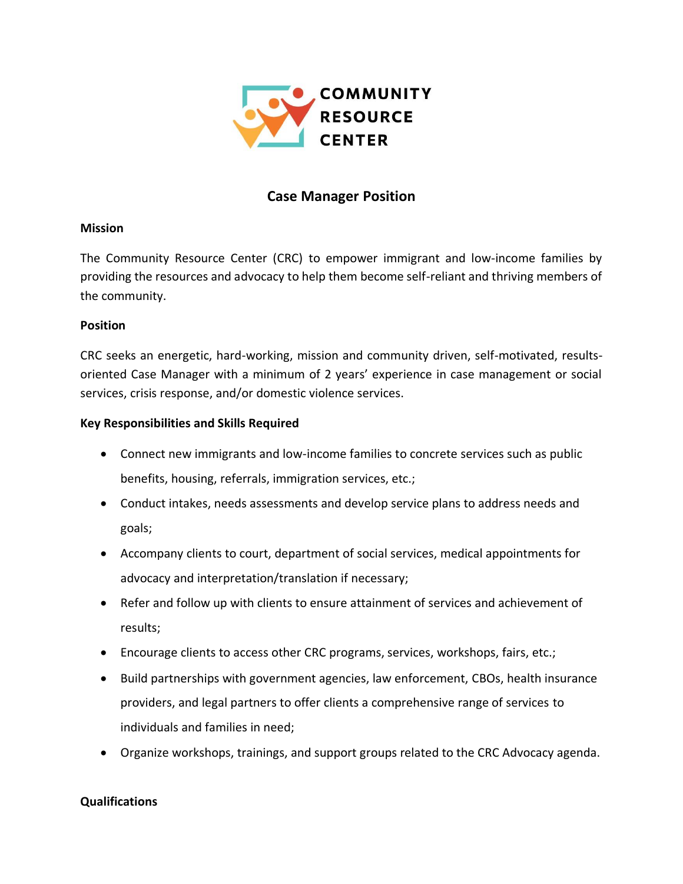

# **Case Manager Position**

### **Mission**

The Community Resource Center (CRC) to empower immigrant and low-income families by providing the resources and advocacy to help them become self-reliant and thriving members of the community.

## **Position**

CRC seeks an energetic, hard-working, mission and community driven, self-motivated, resultsoriented Case Manager with a minimum of 2 years' experience in case management or social services, crisis response, and/or domestic violence services.

# **Key Responsibilities and Skills Required**

- Connect new immigrants and low-income families to concrete services such as public benefits, housing, referrals, immigration services, etc.;
- Conduct intakes, needs assessments and develop service plans to address needs and goals;
- Accompany clients to court, department of social services, medical appointments for advocacy and interpretation/translation if necessary;
- Refer and follow up with clients to ensure attainment of services and achievement of results;
- Encourage clients to access other CRC programs, services, workshops, fairs, etc.;
- Build partnerships with government agencies, law enforcement, CBOs, health insurance providers, and legal partners to offer clients a comprehensive range of services to individuals and families in need;
- Organize workshops, trainings, and support groups related to the CRC Advocacy agenda.

# **Qualifications**